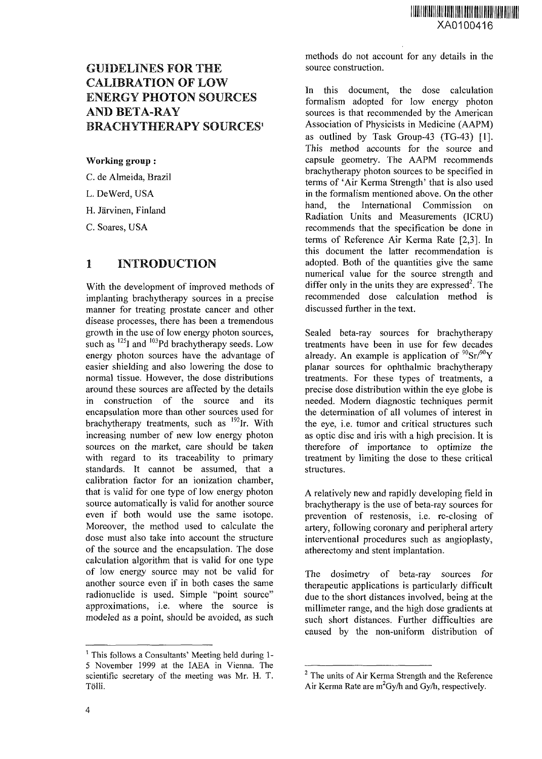# GUIDELINES FOR THE CALIBRATION OF LOW ENERGY PHOTON SOURCES AND BETA-RAY BRACHYTHERAPY SOURCES<sup>1</sup>

#### Working group :

C. de Almeida, Brazil

L. DeWerd, USA

H. Jarvinen, Finland

C. Soares, USA

### 1 INTRODUCTION

With the development of improved methods of implanting brachytherapy sources in a precise manner for treating prostate cancer and other disease processes, there has been a tremendous growth in the use of low energy photon sources, such as  $^{125}$ I and  $^{103}$ Pd brachytherapy seeds. Low energy photon sources have the advantage of easier shielding and also lowering the dose to normal tissue. However, the dose distributions around these sources are affected by the details in construction of the source and its encapsulation more than other sources used for brachytherapy treatments, such as <sup>192</sup>Ir. With increasing number of new low energy photon sources on the market, care should be taken with regard to its traceability to primary standards. It cannot be assumed, that a calibration factor for an ionization chamber, that is valid for one type of low energy photon source automatically is valid for another source even if both would use the same isotope. Moreover, the method used to calculate the dose must also take into account the structure of the source and the encapsulation. The dose calculation algorithm that is valid for one type of low energy source may not be valid for another source even if in both cases the same radionuclide is used. Simple "point source" approximations, i.e. where the source is modeled as a point, should be avoided, as such

methods do not account for any details in the source construction.

In this document, the dose calculation formalism adopted for low energy photon sources is that recommended by the American Association of Physicists in Medicine (AAPM) as outlined by Task Group-43 (TG-43) [1]. This method accounts for the source and capsule geometry. The AAPM recommends brachytherapy photon sources to be specified in terms of 'Air Kerma Strength' that is also used in the formalism mentioned above. On the other hand, the International Commission on Radiation Units and Measurements (ICRU) recommends that the specification be done in terms of Reference Air Kerma Rate [2,3]. In this document the latter recommendation is adopted. Both of the quantities give the same numerical value for the source strength and  $\frac{1}{2}$  differ only in the units they are expressed<sup>2</sup>. The recommended dose calculation method is discussed further in the text.

Sealed beta-ray sources for brachytherapy treatments have been in use for few decades already. An example is application of  $\rm{^{90}Sr/^{90}Y}$ planar sources for ophthalmic brachytherapy treatments. For these types of treatments, a precise dose distribution within the eye globe is needed. Modern diagnostic techniques permit the determination of all volumes of interest in the eye, i.e. tumor and critical structures such as optic disc and iris with a high precision. It is therefore of importance to optimize the treatment by limiting the dose to these critical structures.

A relatively new and rapidly developing field in brachytherapy is the use of beta-ray sources for prevention of restenosis, i.e. re-closing of artery, following coronary and peripheral artery interventional procedures such as angioplasty, atherectomy and stent implantation.

The dosimetry of beta-ray sources for therapeutic applications is particularly difficult due to the short distances involved, being at the millimeter range, and the high dose gradients at such short distances. Further difficulties are caused by the non-uniform distribution of

<sup>&</sup>lt;sup>1</sup> This follows a Consultants' Meeting held during 1-5 November 1999 at the IAEA in Vienna. The scientific secretary of the meeting was Mr. H. T. Tolli.

<sup>&</sup>lt;sup>2</sup> The units of Air Kerma Strength and the Reference Air Kerma Rate are  $m^2Gy/h$  and  $Gy/h$ , respectively.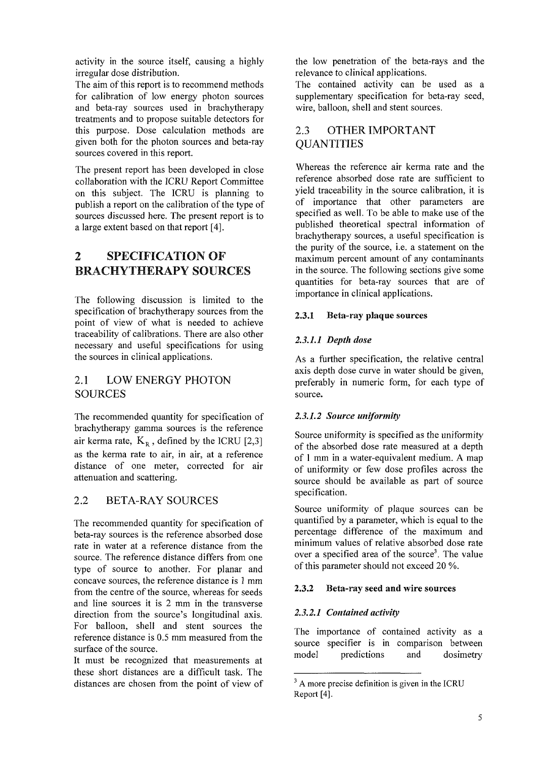activity in the source itself, causing a highly irregular dose distribution.

The aim of this report is to recommend methods for calibration of low energy photon sources and beta-ray sources used in brachytherapy treatments and to propose suitable detectors for this purpose. Dose calculation methods are given both for the photon sources and beta-ray sources covered in this report.

The present report has been developed in close collaboration with the ICRU Report Committee on this subject. The ICRU is planning to publish a report on the calibration of the type of sources discussed here. The present report is to a large extent based on that report [4].

# 2 SPECIFICATION OF BRACHYTHERAPY SOURCES

The following discussion is limited to the specification of brachytherapy sources from the point of view of what is needed to achieve traceability of calibrations. There are also other necessary and useful specifications for using the sources in clinical applications.

### 2.1 LOW ENERGY PHOTON SOURCES

The recommended quantity for specification of brachytherapy gamma sources is the reference air kerma rate,  $K_R$ , defined by the ICRU [2,3] as the kerma rate to air, in air, at a reference distance of one meter, corrected for air attenuation and scattering.

# 2.2 BETA-RAY SOURCES

The recommended quantity for specification of beta-ray sources is the reference absorbed dose rate in water at a reference distance from the source. The reference distance differs from one type of source to another. For planar and concave sources, the reference distance is 1 mm from the centre of the source, whereas for seeds and line sources it is 2 mm in the transverse direction from the source's longitudinal axis. For balloon, shell and stent sources the reference distance is 0.5 mm measured from the surface of the source.

It must be recognized that measurements at these short distances are a difficult task. The distances are chosen from the point of view of the low penetration of the beta-rays and the relevance to clinical applications.

The contained activity can be used as a supplementary specification for beta-ray seed, wire, balloon, shell and stent sources.

# 2.3 OTHER IMPORTANT **QUANTITIES**

Whereas the reference air kerma rate and the reference absorbed dose rate are sufficient to yield traceability in the source calibration, it is of importance that other parameters are specified as well. To be able to make use of the published theoretical spectral information of brachytherapy sources, a useful specification is the purity of the source, i.e. a statement on the maximum percent amount of any contaminants in the source. The following sections give some quantities for beta-ray sources that are of importance in clinical applications.

#### 2.3.1 Beta-ray **plaque sources**

#### *2.3.1.1 Depth dose*

As a further specification, the relative central axis depth dose curve in water should be given, preferably in numeric form, for each type of source.

#### *2.3.1.2 Source uniformity*

Source uniformity is specified as the uniformity of the absorbed dose rate measured at a depth of 1 mm in a water-equivalent medium. A map of uniformity or few dose profiles across the source should be available as part of source specification.

Source uniformity of plaque sources can be quantified by a parameter, which is equal to the percentage difference of the maximum and minimum values of relative absorbed dose rate over a specified area of the source<sup>3</sup>. The value of this parameter should not exceed 20 %.

#### 2.3.2 Beta-ray seed **and** wire sources

#### *2.3.2.1 Contained activity*

The importance of contained activity as a source specifier is in comparison between model predictions and dosimetry

<sup>&</sup>lt;sup>3</sup> A more precise definition is given in the ICRU Report [4].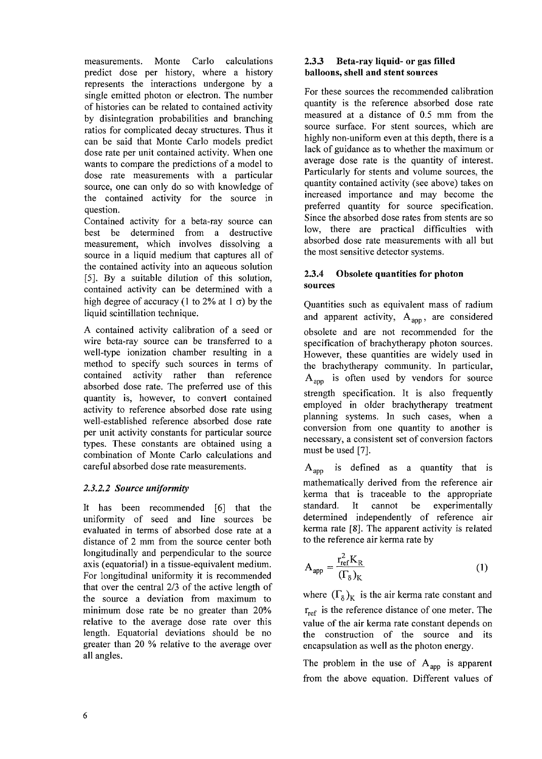measurements. Monte Carlo calculations predict dose per history, where a history represents the interactions undergone by a single emitted photon or electron. The number of histories can be related to contained activity by disintegration probabilities and branching ratios for complicated decay structures. Thus it can be said that Monte Carlo models predict dose rate per unit contained activity. When one wants to compare the predictions of a model to dose rate measurements with a particular source, one can only do so with knowledge of the contained activity for the source in question.

Contained activity for a beta-ray source can best be determined from a destructive measurement, which involves dissolving a source in a liquid medium that captures all of the contained activity into an aqueous solution [5]. By a suitable dilution of this solution, contained activity can be determined with a high degree of accuracy (1 to 2% at 1  $\sigma$ ) by the liquid scintillation technique.

A contained activity calibration of a seed or wire beta-ray source can be transferred to a well-type ionization chamber resulting in a method to specify such sources in terms of contained activity rather than reference absorbed dose rate. The preferred use of this quantity is, however, to convert contained activity to reference absorbed dose rate using well-established reference absorbed dose rate per unit activity constants for particular source types. These constants are obtained using a combination of Monte Carlo calculations and careful absorbed dose rate measurements.

#### *2.3.2.2 Source uniformity*

It has been recommended [6] that the uniformity of seed and line sources be evaluated in terms of absorbed dose rate at a distance of 2 mm from the source center both longitudinally and perpendicular to the source axis (equatorial) in a tissue-equivalent medium. For longitudinal uniformity it is recommended that over the central 2/3 of the active length of the source a deviation from maximum to minimum dose rate be no greater than 20% relative to the average dose rate over this length. Equatorial deviations should be no greater than 20 % relative to the average over all angles.

#### **2.3.3 Beta-ray liquid- or** gas **filled balloons, shell and stent sources**

For these sources the recommended calibration quantity is the reference absorbed dose rate measured at a distance of 0.5 mm from the source surface. For stent sources, which are highly non-uniform even at this depth, there is a lack of guidance as to whether the maximum or average dose rate is the quantity of interest. Particularly for stents and volume sources, the quantity contained activity (see above) takes on increased importance and may become the preferred quantity for source specification. Since the absorbed dose rates from stents are so low, there are practical difficulties with absorbed dose rate measurements with all but the most sensitive detector systems.

#### **2.3.4 Obsolete quantities for photon sources**

Quantities such as equivalent mass of radium and apparent activity,  $A_{\text{app}}$ , are considered obsolete and are not recommended for the specification of brachytherapy photon sources. However, these quantities are widely used in the brachytherapy community. In particular,  $A<sub>app</sub>$  is often used by vendors for source strength specification. It is also frequently employed in older brachytherapy treatment planning systems. In such cases, when a conversion from one quantity to another is necessary, a consistent set of conversion factors must be used [7].

 $A<sub>app</sub>$  is defined as a quantity that is mathematically derived from the reference air kerma that is traceable to the appropriate standard. It cannot be experimentally determined independently of reference air kerma rate [8]. The apparent activity is related to the reference air kerma rate by

$$
A_{app} = \frac{r_{ref}^2 K_R}{(\Gamma_\delta)_K}
$$
 (1)

where  $(\Gamma_{\delta})_K$  is the air kerma rate constant and  $r_{ref}$  is the reference distance of one meter. The value of the air kerma rate constant depends on the construction of the source and its encapsulation as well as the photon energy.

The problem in the use of  $A_{app}$  is apparent from the above equation. Different values of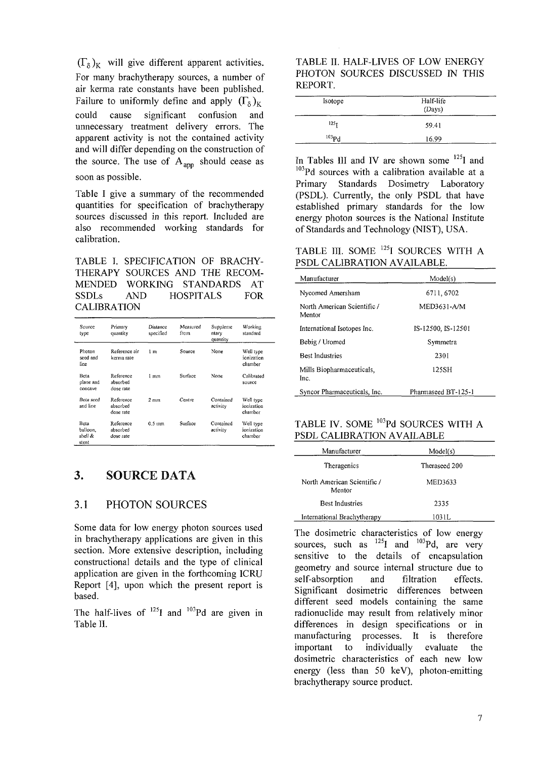$(\Gamma_{\rm s})_{\rm K}$  will give different apparent activities. For many brachytherapy sources, a number of air kerma rate constants have been published. Failure to uniformly define and apply  $(\Gamma_8)_K$ could cause significant confusion and unnecessary treatment delivery errors. The apparent activity is not the contained activity and will differ depending on the construction of the source. The use of  $A_{app}$  should cease as soon as possible.

Table I give a summary of the recommended quantities for specification of brachytherapy sources discussed in this report. Included are also recommended working standards for calibration.

TABLE I. SPECIFICATION OF BRACHY-THERAPY SOURCES AND THE RECOM-MENDED WORKING STANDARDS AT SSDLs AND HOSPITALS FOR CALIBRATION

| Source<br>type                       | Primary<br>quantity                | Distance<br>specified | Measured<br>from | Suppleme<br>ntary<br>quantity | Working<br>standard                |
|--------------------------------------|------------------------------------|-----------------------|------------------|-------------------------------|------------------------------------|
| Photon<br>seed and<br>line           | Reference air<br>kerma rate        | 1 m                   | Source           | None                          | Well type<br>ionization<br>chamber |
| Beta<br>plane and<br>concave         | Reference<br>absorbed<br>dose rate | 1 mm                  | Surface          | None                          | Calibrated<br>source               |
| <b>Beta</b> seed<br>and line         | Reference<br>absorbed<br>dose rate | $2 \text{ mm}$        | Centre           | Contained<br>activity         | Well type<br>ionization<br>chamber |
| Beta<br>balloon,<br>shell &<br>stent | Reference<br>absorbed<br>dose rate | $0.5$ inm             | Surface          | Contained<br>activity         | Well type<br>ionization<br>chamber |

#### 3. SOURCE DATA

#### 3.1 PHOTON SOURCES

Some data for low energy photon sources used in brachytherapy applications are given in this section. More extensive description, including constructional details and the type of clinical application are given in the forthcoming ICRU Report [4], upon which the present report is based.

The half-lives of  $^{125}I$  and  $^{103}Pd$  are given in Table II.

TABLE II. HALF-LIVES OF LOW ENERGY PHOTON SOURCES DISCUSSED IN THIS REPORT.

| Isotope          | Half-life<br>(Days) |  |  |
|------------------|---------------------|--|--|
| 125 <sub>T</sub> | 59.41               |  |  |
| $^{103}Pd$       | 16.99               |  |  |

In Tables III and IV are shown some <sup>125</sup>I and  $103Pd$  sources with a calibration available at a Primary Standards Dosimetry Laboratory (PSDL). Currently, the only PSDL that have established primary standards for the low energy photon sources is the National Institute of Standards and Technology (NIST), USA.

TABLE III. SOME <sup>125</sup>I SOURCES WITH A PSDL CALIBRATION AVAILABLE.

| Manufacturer                          | Model(s)            |
|---------------------------------------|---------------------|
| Nycomed Amersham                      | 6711, 6702          |
| North American Scientific /<br>Mentor | MED3631-A/M         |
| International Isotopes Inc.           | IS-12500, IS-12501  |
| Bebig / Uromed                        | Symmetra            |
| <b>Best Industries</b>                | 2301                |
| Mills Biopharmaceuticals,<br>Inc.     | 125SH               |
| Syncor Pharmaceuticals, Inc.          | Pharmaseed BT-125-1 |

TABLE IV. SOME  $^{103}$ Pd SOURCES WITH A PSDL CALIBRATION AVAILABLE

| Manufacturer                          | Model(s)      |  |
|---------------------------------------|---------------|--|
| Theragenics                           | Theraseed 200 |  |
| North American Scientific /<br>Mentor | MED3633       |  |
| <b>Best Industries</b>                | 2335          |  |
| International Brachytherapy           | 103 I L       |  |

The dosimetric characteristics of low energy sources, such as  $^{125}I$  and  $^{103}Pd$ , are very sensitive to the details of encapsulation geometry and source internal structure due to self-absorption and filtration effects. Significant dosimetric differences between different seed models containing the same radionuclide may result from relatively minor differences in design specifications or in manufacturing processes. It is therefore important to individually evaluate the dosimetric characteristics of each new low energy (less than 50 keV), photon-emitting brachytherapy source product.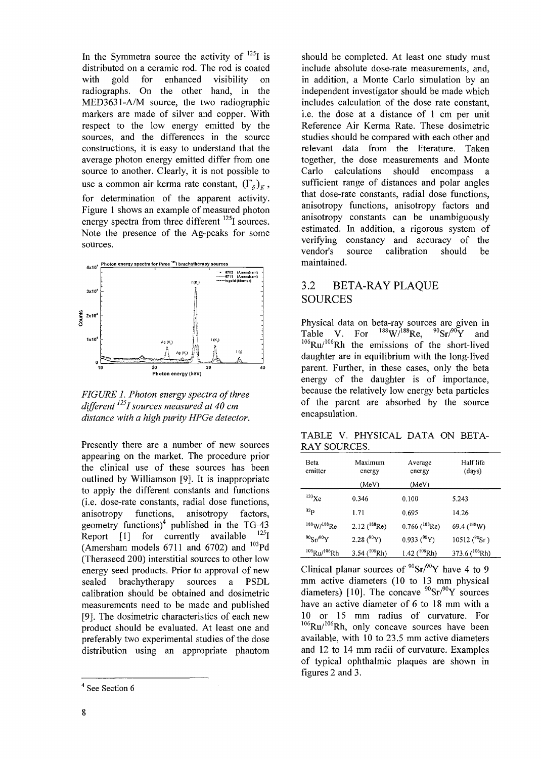In the Symmetra source the activity of  $^{125}$ I is distributed on a ceramic rod. The rod is coated<br>with eold for enhanced visibility on with gold for enhanced visibility on radiographs. On the other hand, in the MED3631-A/M source, the two radiographic markers are made of silver and copper. With respect to the low energy emitted by the sources, and the differences in the source constructions, it is easy to understand that the average photon energy emitted differ from one source to another. Clearly, it is not possible to use a common air kerma rate constant,  $(\Gamma_{\delta})_K$ , for determination of the apparent activity. Figure 1 shows an example of measured photon energy spectra from three different <sup>125</sup>I sources. Note the presence of the Ag-peaks for some sources.



*FIGURE 1. Photon energy spectra of three differentnsI sources measured at 40 cm distance with a high purity HPGe detector.*

Presently there are a number of new sources appearing on the market. The procedure prior the clinical use of these sources has been outlined by Williamson [9]. It is inappropriate to apply the different constants and functions (i.e. dose-rate constants, radial dose functions, anisotropy functions, anisotropy factors, geometry functions)<sup>4</sup> published in the TG-43 Report [1] for currently available  $^{125}$ I (Amersham models 6711 and 6702) and <sup>103</sup>Pd (Theraseed 200) interstitial sources to other low energy seed products. Prior to approval of new sealed brachytherapy sources a PSDL calibration should be obtained and dosimetric measurements need to be made and published [9]. The dosimetric characteristics of each new product should be evaluated. At least one and preferably two experimental studies of the dose distribution using an appropriate phantom should be completed. At least one study must include absolute dose-rate measurements, and, in addition, a Monte Carlo simulation by an independent investigator should be made which includes calculation of the dose rate constant, i.e. the dose at a distance of 1 cm per unit Reference Air Kerma Rate. These dosimetric studies should be compared with each other and relevant data from the literature. Taken together, the dose measurements and Monte Carlo calculations should encompass a sufficient range of distances and polar angles that dose-rate constants, radial dose functions, anisotropy functions, anisotropy factors and anisotropy constants can be unambiguously estimated. In addition, a rigorous system of verifying constancy and accuracy of the vendor's source calibration should be maintained.

### 3.2 BETA-RAY PLAQUE SOURCES

Physical data on beta-ray sources are given in Table V. For  $^{188}$ W/ $^{188}$ Re,  $^{90}$ Sr/ $^{90}$ Y and  $106$ Ru/ $106$ Rh the emissions of the short-lived daughter are in equilibrium with the long-lived parent. Further, in these cases, only the beta energy of the daughter is of importance, because the relatively low energy beta particles of the parent are absorbed by the source encapsulation.

TABLE V. PHYSICAL DATA ON BETA-RAY SOURCES.

| Beta<br>emitter              | Maximum<br>energy   | Average<br>energy            | Half life<br>(days)  |
|------------------------------|---------------------|------------------------------|----------------------|
|                              | (MeV)               | (MeV)                        |                      |
| $^{133}$ Xe                  | 0.346               | 0.100                        | 5.243                |
| 32 <sub>p</sub>              | 1.71                | 0.695                        | 14.26                |
| $188 \text{W}/188 \text{Re}$ | 2.12 $(^{188}$ Re)  | $0.766$ ( <sup>188</sup> Re) | 69.4 $(^{188}W)$     |
| $90$ Sr/ $90$ Y              | 2.28 $(^{90}Y)$     | $0.933(^{90}Y)$              | 10512 ( $^{90}$ Sr)  |
| $106$ Ru/ $106$ Rh           | 3.54 ( $^{106}$ Rh) | 1.42 $(^{106}Rh)$            | 373.6 ( $^{106}$ Rh) |

Clinical planar sources of  $\mathrm{^{90}Sr/^{90}Y}$  have 4 to 9 mm active diameters (10 to 13 mm physical diameters) [10]. The concave  ${}^{90}Sr/{}^{90}Y$  sources have an active diameter of 6 to 18 mm with a 10 or 15 mm radius of curvature. For  $106$ Ru/ $106$ Rh, only concave sources have been available, with 10 to 23.5 mm active diameters and 12 to 14 mm radii of curvature. Examples of typical ophthalmic plaques are shown in figures 2 and 3.

<sup>&</sup>lt;sup>1</sup> See Section 6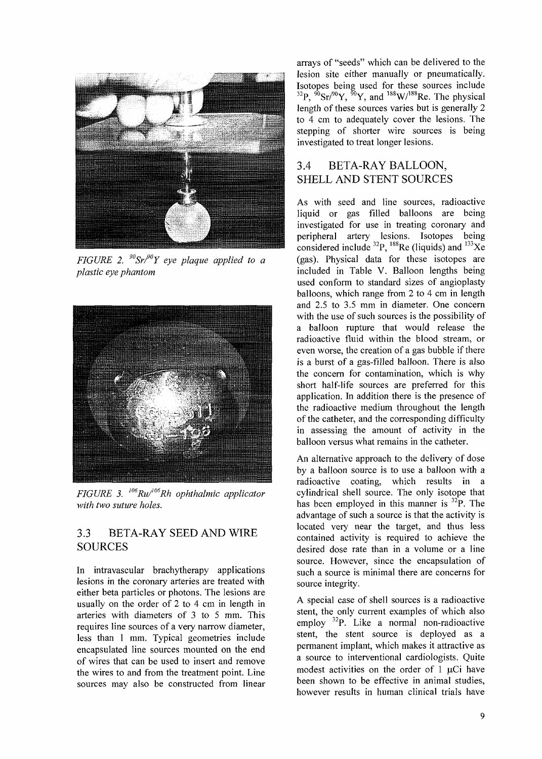

*FIGURE 2.<sup>90</sup>Sr/°Y eye plaque applied to a plastic eye phantom*



*FIGURE 3.* <sup> $106$ </sup>*Ru*<sup> $106$ </sup>*Rh ophthalmic applicator with two suture holes.*

### 3.3 BETA-RAY SEED AND WIRE SOURCES

In intravascular brachytherapy applications lesions in the coronary arteries are treated with either beta particles or photons. The lesions are usually on the order of 2 to 4 cm in length in arteries with diameters of 3 to 5 mm. This requires line sources of a very narrow diameter, less than 1 mm. Typical geometries include encapsulated line sources mounted on the end of wires that can be used to insert and remove the wires to and from the treatment point. Line sources may also be constructed from linear

arrays of "seeds" which can be delivered to the lesion site either manually or pneumatically. Isotopes being used for these sources include <sup>32</sup>P,  $\sqrt[6]{9}$ Sr/ $\sqrt[6]{9}$ Y, and  $\sqrt[188]{9}$ Re. The physical length of these sources varies but is generally 2 to 4 cm to adequately cover the lesions. The stepping of shorter wire sources is being investigated to treat longer lesions.

### 3.4 BETA-RAY BALLOON, SHELL AND STENT SOURCES

As with seed and line sources, radioactive liquid or gas filled balloons are being investigated for use in treating coronary and peripheral artery lesions. Isotopes being considered include  $^{32}P$ ,  $^{188}$ Re (liquids) and  $^{133}Xe$ (gas). Physical data for these isotopes are included in Table V. Balloon lengths being used conform to standard sizes of angioplasty balloons, which range from 2 to 4 cm in length and 2.5 to 3.5 mm in diameter. One concern with the use of such sources is the possibility of a balloon rupture that would release the radioactive fluid within the blood stream, or even worse, the creation of a gas bubble if there is a burst of a gas-filled balloon. There is also the concern for contamination, which is why short half-life sources are preferred for this application. In addition there is the presence of the radioactive medium throughout the length of the catheter, and the corresponding difficulty in assessing the amount of activity in the balloon versus what remains in the catheter.

An alternative approach to the delivery of dose by a balloon source is to use a balloon with a radioactive coating, which results in a cylindrical shell source. The only isotope that has been employed in this manner is <sup>32</sup>P. The advantage of such a source is that the activity is located very near the target, and thus less contained activity is required to achieve the desired dose rate than in a volume or a line source. However, since the encapsulation of such a source is minimal there are concerns for source integrity.

A special case of shell sources is a radioactive stent, the only current examples of which also employ <sup>32</sup>P. Like a normal non-radioactive stent, the stent source is deployed as a permanent implant, which makes it attractive as a source to interventional cardiologists. Quite modest activities on the order of  $1 \mu$ Ci have been shown to be effective in animal studies, however results in human clinical trials have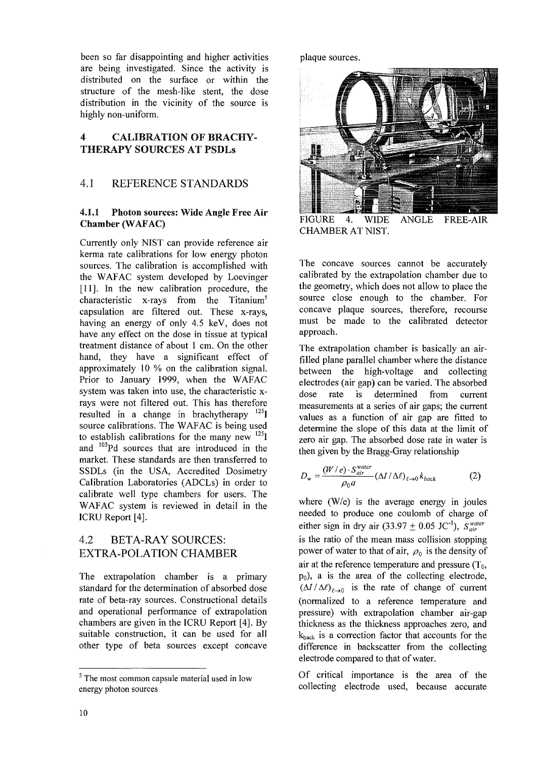been so far disappointing and higher activities are being investigated. Since the activity is distributed on the surface or within the structure of the mesh-like stent, the dose distribution in the vicinity of the source is highly non-uniform.

### 4 CALIBRATION OF BRACHY-THERAPY SOURCES AT PSDLs

### 4.1 REFERENCE STANDARDS

#### 4.1.1 Photon sources: Wide Angle Free Air Chamber (WAFAC)

Currently only NIST can provide reference air kerma rate calibrations for low energy photon sources. The calibration is accomplished with the WAFAC system developed by Loevinger [11]. In the new calibration procedure, the characteristic x-rays from the Titanium<sup>5</sup> capsulation are filtered out. These x-rays, having an energy of only 4.5 keV, does not have any effect on the dose in tissue at typical treatment distance of about 1 cm. On the other hand, they have a significant effect of approximately 10 % on the calibration signal. Prior to January 1999, when the WAFAC system was taken into use, the characteristic xrays were not filtered out. This has therefore resulted in a change in brachytherapy  $^{125}$ source calibrations. The WAFAC is being used to establish calibrations for the many new  $^{125}$ ] and <sup>103</sup>Pd sources that are introduced in the market. These standards are then transferred to SSDLs (in the USA, Accredited Dosimetry Calibration Laboratories (ADCLs) in order to calibrate well type chambers for users. The WAFAC system is reviewed in detail in the ICRU Report [4].

# 4.2 BETA-RAY SOURCES: EXTRA-POLATION CHAMBER

The extrapolation chamber is a primary standard for the determination of absorbed dose rate of beta-ray sources. Constructional details and operational performance of extrapolation chambers are given in the ICRU Report [4]. By suitable construction, it can be used for all other type of beta sources except concave

plaque sources.



FIGURE 4. WIDE ANGLE FREE-AIR CHAMBER AT NIST.

The concave sources cannot be accurately calibrated by the extrapolation chamber due to the geometry, which does not allow to place the source close enough to the chamber. For concave plaque sources, therefore, recourse must be made to the calibrated detector approach.

The extrapolation chamber is basically an airfilled plane parallel chamber where the distance between the high-voltage and collecting electrodes (air gap) can be varied. The absorbed dose rate is determined from current measurements at a series of air gaps; the current values as a function of air gap are fitted to determine the slope of this data at the limit of zero air gap. The absorbed dose rate in water is then given by the Bragg-Gray relationship

$$
D_{w} = \frac{(W/e) \cdot S_{air}^{water}}{\rho_0 a} (\Delta I/\Delta \ell)_{\ell \to 0} k_{back}
$$
 (2)

where (W/e) is the average energy in joules needed to produce one coulomb of charge of either sign in dry air  $(33.97 \pm 0.05 \text{ JC}^{-1})$ ,  $S_{air}^{water}$ is the ratio of the mean mass collision stopping power of water to that of air,  $\rho_0$  is the density of air at the reference temperature and pressure  $(T_0,$  $p_0$ ), a is the area of the collecting electrode,  $(\Delta I/\Delta \ell)_{\ell \to 0}$  is the rate of change of current (normalized to a reference temperature and pressure) with extrapolation chamber air-gap thickness as the thickness approaches zero, and  $k_{\text{back}}$  is a correction factor that accounts for the difference in backscatter from the collecting electrode compared to that of water.

Of critical importance is the area of the collecting electrode used, because accurate

 $5$  The most common capsule material used in low energy photon sources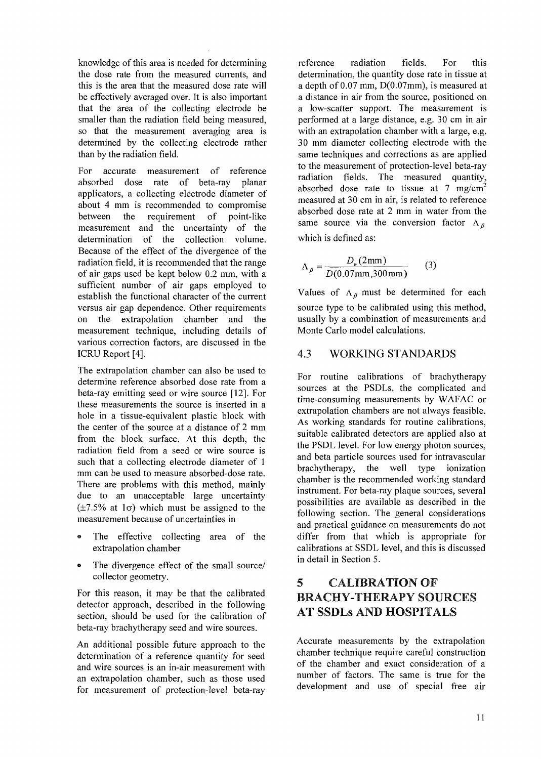knowledge of this area is needed for determining the dose rate from the measured currents, and this is the area that the measured dose rate will be effectively averaged over. It is also important that the area of the collecting electrode be smaller than the radiation field being measured, so that the measurement averaging area is determined by the collecting electrode rather than by the radiation field.

For accurate measurement of reference absorbed dose rate of beta-ray planar applicators, a collecting electrode diameter of about 4 mm is recommended to compromise<br>between the requirement of point-like between the requirement of point-like measurement and the uncertainty of the determination of the collection volume. Because of the effect of the divergence of the radiation field, it is recommended that the range of air gaps used be kept below 0.2 mm, with a sufficient number of air gaps employed to establish the functional character of the current versus air gap dependence. Other requirements on the extrapolation chamber and the measurement technique, including details of various correction factors, are discussed in the ICRU Report [4].

The extrapolation chamber can also be used to determine reference absorbed dose rate from a beta-ray emitting seed or wire source [12]. For these measurements the source is inserted in a hole in a tissue-equivalent plastic block with the center of the source at a distance of 2 mm from the block surface. At this depth, the radiation field from a seed or wire source is such that a collecting electrode diameter of 1 mm can be used to measure absorbed-dose rate. There are problems with this method, mainly due to an unacceptable large uncertainty  $(\pm 7.5\%$  at 1 $\sigma$ ) which must be assigned to the measurement because of uncertainties in

- The effective collecting area of the extrapolation chamber
- The divergence effect of the small source/ collector geometry.

For this reason, it may be that the calibrated detector approach, described in the following section, should be used for the calibration of beta-ray brachytherapy seed and wire sources.

An additional possible future approach to the determination of a reference quantity for seed and wire sources is an in-air measurement with an extrapolation chamber, such as those used for measurement of protection-level beta-ray

reference radiation fields. For this determination, the quantity dose rate in tissue at a depth of 0.07 mm, D(0.07mm), is measured at a distance in air from the source, positioned on a low-scatter support. The measurement is performed at a large distance, e.g. 30 cm in air with an extrapolation chamber with a large, e.g. 30 mm diameter collecting electrode with the same techniques and corrections as are applied to the measurement of protection-level beta-ray radiation fields. The measured quantity, absorbed dose rate to tissue at  $7 \text{ mg/cm}^2$ measured at 30 cm in air, is related to reference absorbed dose rate at 2 mm in water from the same source via the conversion factor  $A_{\beta}$ which is defined as:

$$
\Lambda_{\beta} = \frac{D_{w}(2 \text{mm})}{D(0.07 \text{mm}, 300 \text{mm})}
$$
 (3)

Values of  $\Lambda_{\beta}$  must be determined for each source type to be calibrated using this method, usually by a combination of measurements and Monte Carlo model calculations.

#### 4.3 WORKING STANDARDS

For routine calibrations of brachytherapy sources at the PSDLs, the complicated and time-consuming measurements by WAFAC or extrapolation chambers are not always feasible. As working standards for routine calibrations, suitable calibrated detectors are applied also at the PSDL level. For low energy photon sources, and beta particle sources used for intravascular brachytherapy, the well type ionization chamber is the recommended working standard instrument. For beta-ray plaque sources, several possibilities are available as described in the following section. The general considerations and practical guidance on measurements do not differ from that which is appropriate for calibrations at SSDL level, and this is discussed in detail in Section 5.

# 5 CALIBRATION OF BRACHY-THERAPY SOURCES AT SSDLs AND HOSPITALS

Accurate measurements by the extrapolation chamber technique require careful construction of the chamber and exact consideration of a number of factors. The same is true for the development and use of special free air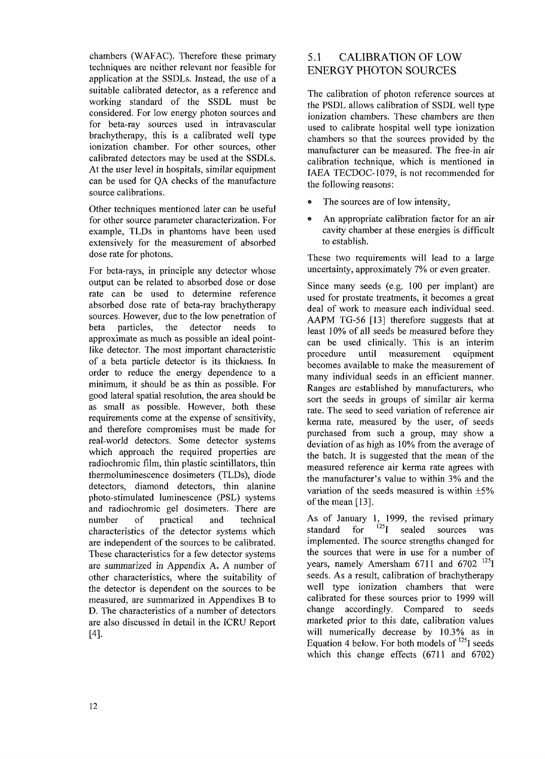chambers (WAFAC). Therefore these primary techniques are neither relevant nor feasible for application at the SSDLs. Instead, the use of a suitable calibrated detector, as a reference and working standard of the SSDL must be considered. For low energy photon sources and for beta-ray sources used in intravascular brachytherapy, this is a calibrated well type ionization chamber. For other sources, other calibrated detectors may be used at the SSDLs. At the user level in hospitals, similar equipment can be used for QA checks of the manufacture source calibrations.

Other techniques mentioned later can be useful for other source parameter characterization. For example, TLDs in phantoms have been used extensively for the measurement of absorbed dose rate for photons.

For beta-rays, in principle any detector whose output can be related to absorbed dose or dose rate can be used to determine reference absorbed dose rate of beta-ray brachytherapy sources. However, due to the low penetration of beta particles, the detector needs to approximate as much as possible an ideal pointlike detector. The most important characteristic of a beta particle detector is its thickness. In order to reduce the energy dependence to a minimum, it should be as thin as possible. For good lateral spatial resolution, the area should be as small as possible. However, both these requirements come at the expense of sensitivity, and therefore compromises must be made for real-world detectors. Some detector systems which approach the required properties are radiochromic film, thin plastic scintillators, thin thermoluminescence dosimeters (TLDs), diode detectors, diamond detectors, thin alanine photo-stimulated luminescence (PSL) systems and radiochromic gel dosimeters. There are number of practical and technical characteristics of the detector systems which are independent of the sources to be calibrated. These characteristics for a few detector systems are summarized in Appendix A. A number of other characteristics, where the suitability of the detector is dependent on the sources to be measured, are summarized in Appendixes B to D. The characteristics of a number of detectors are also discussed in detail in the ICRU Report [4].

# 5.1 CALIBRATION OF LOW ENERGY PHOTON SOURCES

The calibration of photon reference sources at the PSDL allows calibration of SSDL well type ionization chambers. These chambers are then used to calibrate hospital well type ionization chambers so that the sources provided by the manufacturer can be measured. The free-in air calibration technique, which is mentioned in IAEA TECDOC-1079, is not recommended for the following reasons:

- The sources are of low intensity,
- An appropriate calibration factor for an air cavity chamber at these energies is difficult to establish.

These two requirements will lead to a large uncertainty, approximately 7% or even greater.

Since many seeds (e.g. 100 per implant) are used for prostate treatments, it becomes a great deal of work to measure each individual seed. AAPM TG-56 [13] therefore suggests that at least 10% of all seeds be measured before they can be used clinically. This is an interim procedure until measurement equipment becomes available to make the measurement of many individual seeds in an efficient manner. Ranges are established by manufacturers, who sort the seeds in groups of similar air kerma rate. The seed to seed variation of reference air kerma rate, measured by the user, of seeds purchased from such a group, may show a deviation of as high as 10% from the average of the batch. It is suggested that the mean of the measured reference air kerma rate agrees with the manufacturer's value to within 3% and the variation of the seeds measured is within ±5% of the mean [13].

As of January 1, 1999, the revised primary standard for  $^{125}$ I sealed sources was implemented. The source strengths changed for the sources that were in use for a number of years, namely Amersham 6711 and 6702<sup>125</sup> seeds. As a result, calibration of brachytherapy well type ionization chambers that were calibrated for these sources prior to 1999 will change accordingly. Compared to seeds marketed prior to this date, calibration values will numerically decrease by 10.3% as in Equation 4 below. For both models of  $^{125}I$  seeds which this change effects (6711 and 6702)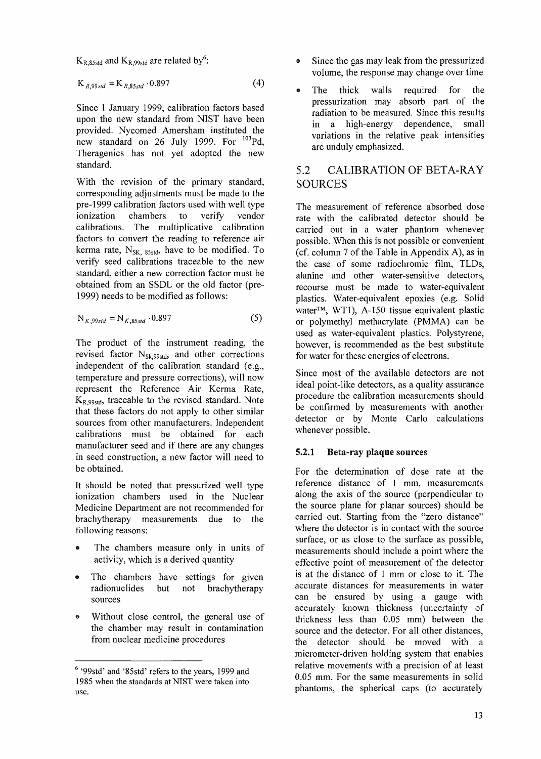$\rm{K_{R,85std}}$  and  $\rm{K_{R,99std}}$  are related by  $\rm{^6:}$ 

$$
K_{R,99std} = K_{R,85std} \cdot 0.897
$$
 (4)

Since 1 January 1999, calibration factors based upon the new standard from NIST have been provided. Nycomed Amersham instituted the new standard on 26 July 1999. For <sup>103</sup>Pd, Theragenics has not yet adopted the new standard.

With the revision of the primary standard, corresponding adjustments must be made to the pre-1999 calibration factors used with well type ionization chambers to verify vendor calibrations. The multiplicative calibration factors to convert the reading to reference air kerma rate,  $N_{SK. 85std}$ , have to be modified. To verify seed calibrations traceable to the new standard, either a new correction factor must be obtained from an SSDL or the old factor (pre-1999) needs to be modified as follows:

$$
N_{K,99std} = N_{K,85std} \cdot 0.897
$$
 (5)

The product of the instrument reading, the revised factor  $N_{Sk,99std}$ , and other corrections independent of the calibration standard (e.g., temperature and pressure corrections), will now represent the Reference Air Kerma Rate,  $K_{R,99std}$ , traceable to the revised standard. Note that these factors do not apply to other similar sources from other manufacturers. Independent calibrations must be obtained for each manufacturer seed and if there are any changes in seed construction, a new factor will need to be obtained.

It should be noted that pressurized well type ionization chambers used in the Nuclear Medicine Department are not recommended for brachytherapy measurements due to the following reasons:

- The chambers measure only in units of activity, which is a derived quantity
- The chambers have settings for given radionuclides but not brachytherapy sources
- Without close control, the general use of the chamber may result in contamination from nuclear medicine procedures
- Since the gas may leak from the pressurized volume, the response may change over time
- The thick walls required for the pressurization may absorb part of the radiation to be measured. Since this results in a high-energy dependence, small variations in the relative peak intensities are unduly emphasized.

### 5.2 CALIBRATION OF BETA-RAY SOURCES

The measurement of reference absorbed dose rate with the calibrated detector should be carried out in a water phantom whenever possible. When this is not possible or convenient (cf. column 7 of the Table in Appendix A), as in the case of some radiochromic film, TLDs, alanine and other water-sensitive detectors, recourse must be made to water-equivalent plastics. Water-equivalent epoxies (e.g. Solid water™, WT1), A-150 tissue equivalent plastic or polymethyl methacrylate (PMMA) can be used as water-equivalent plastics. Polystyrene, however, is recommended as the best substitute for water for these energies of electrons.

Since most of the available detectors are not ideal point-like detectors, as a quality assurance procedure the calibration measurements should be confirmed by measurements with another detector or by Monte Carlo calculations whenever possible.

#### 5.2.1 Beta-ray plaque sources

For the determination of dose rate at the reference distance of 1 mm, measurements along the axis of the source (perpendicular to the source plane for planar sources) should be carried out. Starting from the "zero distance" where the detector is in contact with the source surface, or as close to the surface as possible, measurements should include a point where the effective point of measurement of the detector is at the distance of 1 mm or close to it. The accurate distances for measurements in water can be ensured by using a gauge with accurately known thickness (uncertainty of thickness less than 0.05 mm) between the source and the detector. For all other distances, the detector should be moved with a micrometer-driven holding system that enables relative movements with a precision of at least 0.05 mm. For the same measurements in solid phantoms, the spherical caps (to accurately

<sup>&</sup>lt;sup>6</sup> '99std' and '85std' refers to the years, 1999 and 1985 when the standards at NIST were taken into use.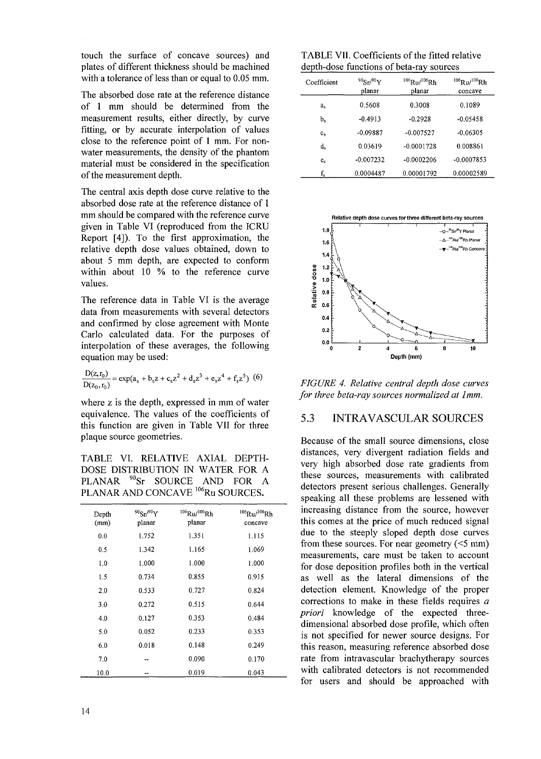touch the surface of concave sources) and plates of different thickness should be machined with a tolerance of less than or equal to 0.05 mm.

The absorbed dose rate at the reference distance of 1 mm should be determined from the measurement results, either directly, by curve fitting, or by accurate interpolation of values close to the reference point of 1 mm. For nonwater measurements, the density of the phantom material must be considered in the specification of the measurement depth.

The central axis depth dose curve relative to the absorbed dose rate at the reference distance of 1 mm should be compared with the reference curve given in Table VI (reproduced from the ICRU Report [4]). To the first approximation, the relative depth dose values obtained, down to about 5 mm depth, are expected to conform within about 10 % to the reference curve values.

The reference data in Table VI is the average data from measurements with several detectors and confirmed by close agreement with Monte Carlo calculated data. For the purposes of interpolation of these averages, the following equation may be used:

$$
\frac{D(z,r_0)}{D(z_0,r_0)} = \exp(a_s + b_s z + c_s z^2 + d_s z^3 + e_s z^4 + f_s z^5)
$$
 (6)

where z is the depth, expressed in mm of water equivalence. The values of the coefficients of this function are given in Table VII for three plaque source geometries.

TABLE VI. RELATIVE AXIAL DEPTH-DOSE DISTRIBUTION IN WATER FOR A PLANAR<sup>90</sup>Sr SOURCE AND FOR A PLANAR AND CONCAVE <sup>106</sup>Ru SOURCES.

| Depth<br>(mm) | $90Sr^{90}Y$<br>planar | $106$ Ru/ $106$ Rh<br>planar | $106$ Ru/ $106$ Rh<br>concave |
|---------------|------------------------|------------------------------|-------------------------------|
| 0.0           | 1.752                  | 1.351                        | 1.115                         |
| 0.5           | 1.342                  | 1.165                        | 1.069                         |
| 1.0           | 1.000                  | 1.000                        | 1.000                         |
| 1.5           | 0.734                  | 0.855                        | 0.915                         |
| 2.0           | 0.533                  | 0.727                        | 0.824                         |
| 3.0           | 0.272                  | 0.515                        | 0.644                         |
| 4.0           | 0.127                  | 0.353                        | 0.484                         |
| 5.0           | 0.052                  | 0.233                        | 0.353                         |
| 6.0           | 0.018                  | 0.148                        | 0.249                         |
| 7.0           |                        | 0.090                        | 0.170                         |
| 10.0          |                        | 0.019                        | 0.043                         |

TABLE VII. Coefficients of the fitted relative depth-dose functions of beta-ray sources

| Coefficient    | $90$ Sr $/90$ Y<br>planar | $106$ Ru/ $106$ Rh<br>planar | $106$ Ru/ $106$ Rh<br>concave |
|----------------|---------------------------|------------------------------|-------------------------------|
| a,             | 0.5608                    | 0.3008                       | 0.1089                        |
| $b_s$          | $-0.4913$                 | $-0.2928$                    | $-0.05458$                    |
| $c_{s}$        | $-0.09887$                | $-0.007527$                  | $-0.06305$                    |
| d,             | 0.03619                   | $-0.0001728$                 | 0.008861                      |
| e <sub>s</sub> | $-0.007232$               | $-0.0002206$                 | $-0.0007853$                  |
| $f_{\rm s}$    | 0.0004487                 | 0.00001792                   | 0.00002589                    |



*FIGURE 4. Relative central depth dose curves for three beta-ray sources normalized at lmm.*

#### 5.3 INTRAVASCULAR SOURCES

Because of the small source dimensions, close distances, very divergent radiation fields and very high absorbed dose rate gradients from these sources, measurements with calibrated detectors present serious challenges. Generally speaking all these problems are lessened with increasing distance from the source, however this comes at the price of much reduced signal due to the steeply sloped depth dose curves from these sources. For near geometry  $(<5$  mm) measurements, care must be taken to account for dose deposition profiles both in the vertical as well as the lateral dimensions of the detection element. Knowledge of the proper corrections to make in these fields requires *a priori* knowledge of the expected threedimensional absorbed dose profile, which often is not specified for newer source designs. For this reason, measuring reference absorbed dose rate from intravascular brachytherapy sources with calibrated detectors is not recommended for users and should be approached with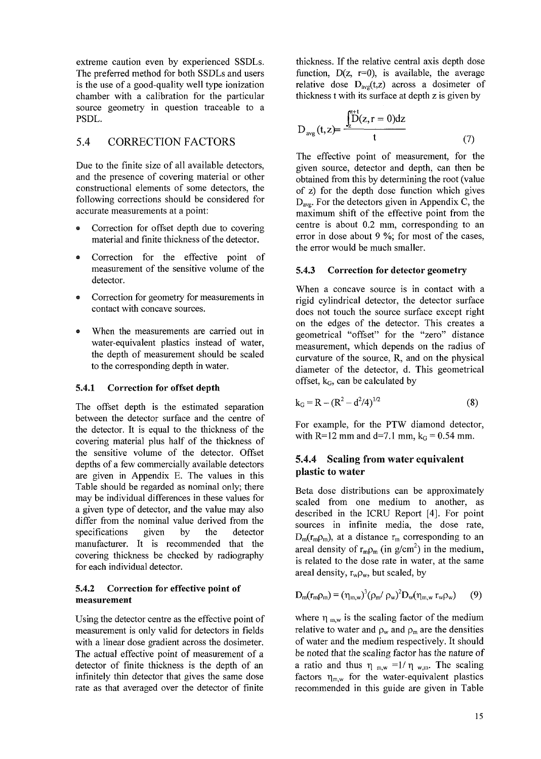extreme caution even by experienced SSDLs. The preferred method for both SSDLs and users is the use of a good-quality well type ionization chamber with a calibration for the particular source geometry in question traceable to a PSDL.

# 5.4 CORRECTION FACTORS

Due to the finite size of all available detectors, and the presence of covering material or other constructional elements of some detectors, the following corrections should be considered for accurate measurements at a point:

- Correction for offset depth due to covering material and finite thickness of the detector.
- Correction for the effective point of measurement of the sensitive volume of the detector.
- Correction for geometry for measurements in contact with concave sources.
- When the measurements are carried out in water-equivalent plastics instead of water, the depth of measurement should be scaled to the corresponding depth in water.

#### **5.4.1 Correction for offset depth**

The offset depth is the estimated separation between the detector surface and the centre of the detector. It is equal to the thickness of the covering material plus half of the thickness of the sensitive volume of the detector. Offset depths of a few commercially available detectors are given in Appendix E. The values in this Table should be regarded as nominal only; there may be individual differences in these values for a given type of detector, and the value may also differ from the nominal value derived from the specifications given by the detector manufacturer. It is recommended that the covering thickness be checked by radiography for each individual detector.

#### **5.4.2 Correction for effective point of measurement**

Using the detector centre as the effective point of measurement is only valid for detectors in fields with a linear dose gradient across the dosimeter. The actual effective point of measurement of a detector of finite thickness is the depth of an infinitely thin detector that gives the same dose rate as that averaged over the detector of finite thickness. If the relative central axis depth dose function,  $D(z, r=0)$ , is available, the average relative dose  $D_{avg}(t, z)$  across a dosimeter of thickness t with its surface at depth z is given by

$$
D_{avg}(t, z) = \frac{\int_{z}^{z+t} [D(z, r = 0)]dz}{t}
$$
 (7)

The effective point of measurement, for the given source, detector and depth, can then be obtained from this by determining the root (value of z) for the depth dose function which gives  $D_{ave}$ . For the detectors given in Appendix C, the maximum shift of the effective point from the centre is about 0.2 mm, corresponding to an error in dose about 9 %; for most of the cases, the error would be much smaller.

#### **5.4.3 Correction for detector** geometry

When a concave source is in contact with a rigid cylindrical detector, the detector surface does not touch the source surface except right on the edges of the detector. This creates a geometrical "offset" for the "zero" distance measurement, which depends on the radius of curvature of the source, R, and on the physical diameter of the detector, d. This geometrical offset,  $k_G$ , can be calculated by

$$
k_G = R - (R^2 - d^2/4)^{1/2}
$$
 (8)

For example, for the PTW diamond detector, with R=12 mm and d=7.1 mm,  $k_G = 0.54$  mm.

#### **5.4.4 Scaling from water equivalent plastic to** water

Beta dose distributions can be approximately scaled from one medium to another, as described in the ICRU Report [4]. For point sources in infinite media, the dose rate,  $D_m(r_m\rho_m)$ , at a distance  $r_m$  corresponding to an areal density of  $r_{m}\rho_{m}$  (in g/cm<sup>2</sup>) in the medium, is related to the dose rate in water, at the same areal density,  $r_w \rho_w$ , but scaled, by

$$
D_{m}(r_{m}\rho_{m}) = (\eta_{m,w})^{3}(\rho_{m}/\rho_{w})^{2}D_{w}(\eta_{m,w} r_{w}\rho_{w})
$$
 (9)

where  $\eta_{m,w}$  is the scaling factor of the medium relative to water and  $\rho_w$  and  $\rho_m$  are the densities of water and the medium respectively. It should be noted that the scaling factor has the nature of a ratio and thus  $\eta_{m,w}$  =1/ $\eta_{w,m}$ . The scaling factors  $\eta_{m,w}$  for the water-equivalent plastics recommended in this guide are given in Table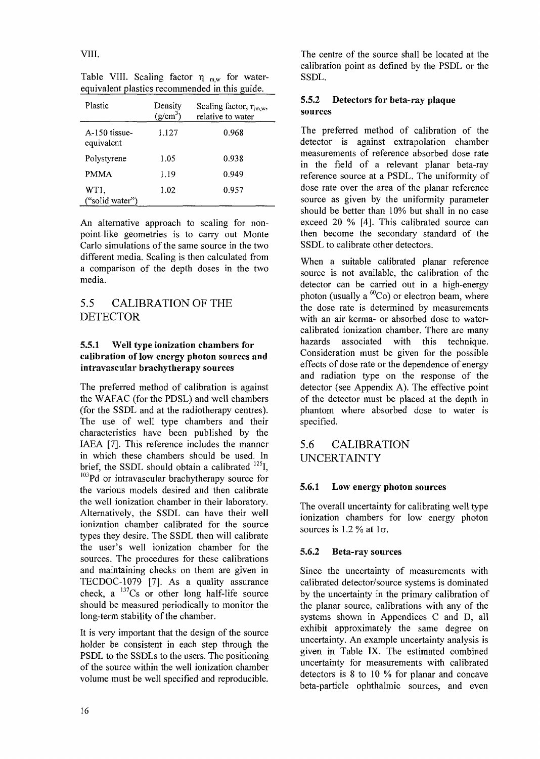| Plastic                     | Density<br>$(g/cm^3)$ | Scaling factor, $\eta_{m,w}$ ,<br>relative to water |
|-----------------------------|-----------------------|-----------------------------------------------------|
| A-150 tissue-<br>equivalent | 1.127                 | 0.968                                               |
| Polystyrene                 | 1.05                  | 0.938                                               |
| <b>PMMA</b>                 | 1.19                  | 0.949                                               |
| WT1,<br>("solid water")     | 1.02                  | 0.957                                               |

Table VIII. Scaling factor  $\eta_{\text{mw}}$  for waterequivalent plastics recommended in this guide.

An alternative approach to scaling for nonpoint-like geometries is to carry out Monte Carlo simulations of the same source in the two different media. Scaling is then calculated from a comparison of the depth doses in the two media.

### 5.5 CALIBRATION OF THE DETECTOR

#### **5.5.1 Well type ionization chambers for calibration of low energy photon** sources **and** intravascular brachytherapy sources

The preferred method of calibration is against the WAFAC (for the PDSL) and well chambers (for the SSDL and at the radiotherapy centres). The use of well type chambers and their characteristics have been published by the IAEA [7]. This reference includes the manner in which these chambers should be used. In brief, the SSDL should obtain a calibrated <sup>125</sup>I, <sup>103</sup>Pd or intravascular brachytherapy source for the various models desired and then calibrate the well ionization chamber in their laboratory. Alternatively, the SSDL can have their well ionization chamber calibrated for the source types they desire. The SSDL then will calibrate the user's well ionization chamber for the sources. The procedures for these calibrations and maintaining checks on them are given in TECDOC-1079 [7]. As a quality assurance check,  $a^{137}Cs$  or other long half-life source should be measured periodically to monitor the long-term stability of the chamber.

It is very important that the design of the source holder be consistent in each step through the PSDL to the SSDLs to the users. The positioning of the source within the well ionization chamber volume must be well specified and reproducible.

The centre of the source shall be located at the calibration point as defined by the PSDL or the SSDL.

#### **5.5.2 Detectors for** beta-ray plaque sources

The preferred method of calibration of the detector is against extrapolation chamber measurements of reference absorbed dose rate in the field of a relevant planar beta-ray reference source at a PSDL. The uniformity of dose rate over the area of the planar reference source as given by the uniformity parameter should be better than 10% but shall in no case exceed 20 % [4]. This calibrated source can then become the secondary standard of the SSDL to calibrate other detectors.

When a suitable calibrated planar reference source is not available, the calibration of the detector can be carried out in a high-energy photon (usually a  ${}^{60}Co$ ) or electron beam, where the dose rate is determined by measurements with an air kerma- or absorbed dose to watercalibrated ionization chamber. There are many hazards associated with this technique. Consideration must be given for the possible effects of dose rate or the dependence of energy and radiation type on the response of the detector (see Appendix A). The effective point of the detector must be placed at the depth in phantom where absorbed dose to water is specified.

# 5.6 CALIBRATION UNCERTAINTY

#### **5.6.1 Low** energy **photon sources**

The overall uncertainty for calibrating well type ionization chambers for low energy photon sources is 1.2 % at  $1\sigma$ .

#### 5.6.2 Beta-ray sources

Since the uncertainty of measurements with calibrated detector/source systems is dominated by the uncertainty in the primary calibration of the planar source, calibrations with any of the systems shown in Appendices C and D, all exhibit approximately the same degree on uncertainty. An example uncertainty analysis is given in Table IX. The estimated combined uncertainty for measurements with calibrated detectors is 8 to 10 % for planar and concave beta-particle ophthalmic sources, and even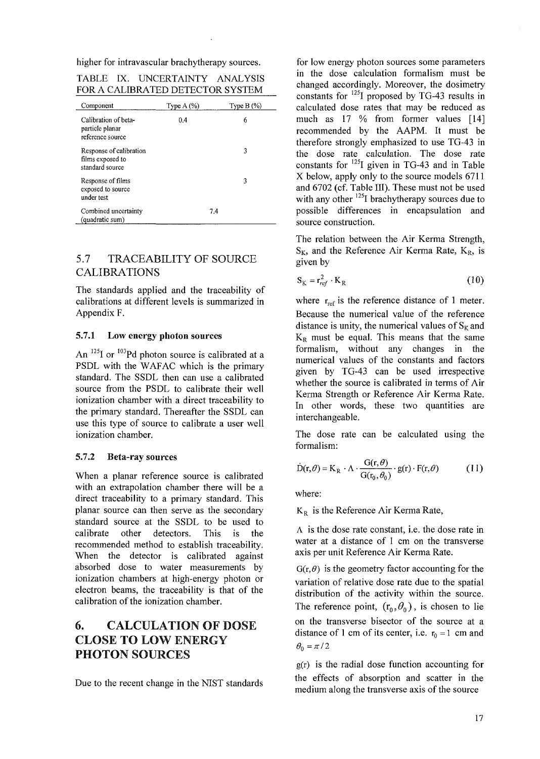higher for intravascular brachytherapy sources.

|  | TABLE IX. INCERTAINTY | ANALYSIS                         |
|--|-----------------------|----------------------------------|
|  |                       | FOR A CALIBRATED DETECTOR SYSTEM |

| Component                                                      | Type $A(%)$ | Type $B(\%)$ |
|----------------------------------------------------------------|-------------|--------------|
| Calibration of beta-<br>particle planar<br>reference source    | 0.4         | 6            |
| Response of calibration<br>films exposed to<br>standard source |             | 3            |
| Response of films<br>exposed to source<br>under test           |             | 3            |
| Combined uncertainty<br>(quadratic sum)                        |             | 7.4          |

### 5.7 TRACEABILITY OF SOURCE CALIBRATIONS

The standards applied and the traceability of calibrations at different levels is summarized in Appendix F.

#### **5.7.1** Low **energy photon** sources

An  $^{125}$ I or  $^{103}$ Pd photon source is calibrated at a PSDL with the WAFAC which is the primary standard. The SSDL then can use a calibrated source from the PSDL to calibrate their well ionization chamber with a direct traceability to the primary standard. Thereafter the SSDL can use this type of source to calibrate a user well ionization chamber.

#### 5.7.2 Beta-ray sources

When a planar reference source is calibrated with an extrapolation chamber there will be a direct traceability to a primary standard. This planar source can then serve as the secondary standard source at the SSDL to be used to calibrate other detectors. This is the recommended method to establish traceability. When the detector is calibrated against absorbed dose to water measurements by ionization chambers at high-energy photon or electron beams, the traceability is that of the calibration of the ionization chamber.

# 6. CALCULATION OF DOSE CLOSE TO LOW ENERGY PHOTON SOURCES

Due to the recent change in the NIST standards

for low energy photon sources some parameters in the dose calculation formalism must be changed accordingly. Moreover, the dosimetry constants for  $^{125}$ I proposed by TG-43 results in calculated dose rates that may be reduced as much as 17 % from former values [14] recommended by the AAPM. It must be therefore strongly emphasized to use TG-43 in the dose rate calculation. The dose rate constants for  $^{125}I$  given in TG-43 and in Table X below, apply only to the source models 6711 and 6702 (cf. Table III). These must not be used with any other <sup>125</sup>I brachytherapy sources due to possible differences in encapsulation and source construction.

The relation between the Air Kerma Strength,  $S_K$ , and the Reference Air Kerma Rate,  $K_R$ , is given by

$$
S_K = r_{ref}^2 \cdot K_R \tag{10}
$$

where  $r_{ref}$  is the reference distance of 1 meter. Because the numerical value of the reference distance is unity, the numerical values of  $S_k$  and  $K_R$  must be equal. This means that the same formalism, without any changes in the numerical values of the constants and factors given by TG-43 can be used irrespective whether the source is calibrated in terms of Air Kerma Strength or Reference Air Kerma Rate. In other words, these two quantities are interchangeable.

The dose rate can be calculated using the formalism:

$$
\dot{D}(r,\theta) = K_R \cdot \Lambda \cdot \frac{G(r,\theta)}{G(r_0,\theta_0)} \cdot g(r) \cdot F(r,\theta)
$$
 (11)

where:

 $K_R$  is the Reference Air Kerma Rate,

A is the dose rate constant, i.e. the dose rate in water at a distance of 1 cm on the transverse axis per unit Reference Air Kerma Rate.

 $G(r, \theta)$  is the geometry factor accounting for the variation of relative dose rate due to the spatial distribution of the activity within the source. The reference point,  $(r_0, \theta_0)$ , is chosen to lie on the transverse bisector of the source at a distance of 1 cm of its center, i.e.  $r_0 = 1$  cm and  $\theta_0 = \pi/2$ 

g(r) is the radial dose function accounting for the effects of absorption and scatter in the medium along the transverse axis of the source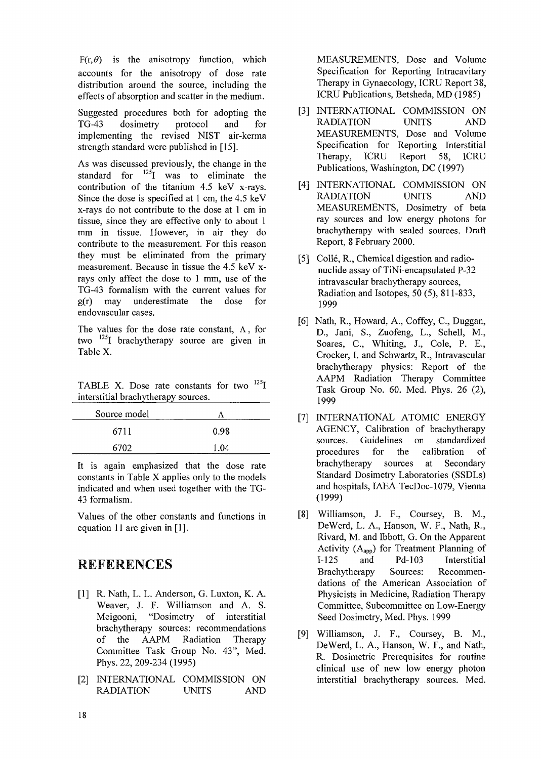$F(r, \theta)$  is the anisotropy function, which accounts for the anisotropy of dose rate distribution around the source, including the effects of absorption and scatter in the medium.

Suggested procedures both for adopting the TG-43 dosimetry protocol and for implementing the revised NIST air-kerma strength standard were published in [15].

As was discussed previously, the change in the standard for  $^{125}I$  was to eliminate the contribution of the titanium 4.5 keV x-rays. Since the dose is specified at 1 cm, the 4.5 keV x-rays do not contribute to the dose at 1 cm in tissue, since they are effective only to about 1 mm in tissue. However, in air they do contribute to the measurement. For this reason they must be eliminated from the primary measurement. Because in tissue the 4.5 keV xrays only affect the dose to 1 mm, use of the TG-43 formalism with the current values for g(r) may underestimate the dose for endovascular cases.

The values for the dose rate constant,  $\Lambda$ , for two <sup>125</sup>I brachytherapy source are given in Table X.

TABLE X. Dose rate constants for two  $^{125}$ interstitial brachytherapy sources.

| Source model |      |
|--------------|------|
| 6711         | 0.98 |
| 6702         | 1.04 |

It is again emphasized that the dose rate constants in Table X applies only to the models indicated and when used together with the TG-43 formalism.

Values of the other constants and functions in equation 11 are given in [1].

# REFERENCES

- [1] R. Nath, L. L. Anderson, G. Luxton, K. A. Weaver, J. F. Williamson and A. S. Meigooni, "Dosimetry of interstitial brachytherapy sources: recommendations of the AAPM Radiation Therapy Committee Task Group No. 43", Med. Phys. 22, 209-234 (1995)
- [2] INTERNATIONAL COMMISSION ON RADIATION UNITS AND

MEASUREMENTS, Dose and Volume Specification for Reporting Intracavitary Therapy in Gynaecology, ICRU Report 38, ICRU Publications, Betsheda, MD (1985)

- [3] INTERNATIONAL COMMISSION ON RADIATION UNITS AND MEASUREMENTS, Dose and Volume Specification for Reporting Interstitial Therapy, ICRU Report 58, ICRU Publications, Washington, DC (1997)
- [4] INTERNATIONAL COMMISSION ON RADIATION UNITS AND MEASUREMENTS, Dosimetry of beta ray sources and low energy photons for brachytherapy with sealed sources. Draft Report, 8 February 2000.
- [5] Collé, R., Chemical digestion and radionuclide assay of TiNi-encapsulated P-32 intravascular brachytherapy sources, Radiation and Isotopes, 50 (5), 811-833, 1999
- [6] Nath, R., Howard, A., Coffey, C., Duggan, D., Jani, S., Zuofeng, L., Schell, M., Soares, C, Whiting, J., Cole, P. E., Crocker, I. and Schwartz, R., Intravascular brachytherapy physics: Report of the AAPM Radiation Therapy Committee Task Group No. 60. Med. Phys. 26 (2), 1999
- [7] INTERNATIONAL ATOMIC ENERGY AGENCY, Calibration of brachytherapy sources. Guidelines on standardized procedures for the calibration of brachytherapy sources at Secondary Standard Dosimetry Laboratories (SSDLs) and hospitals, IAEA-TecDoc-1079, Vienna (1999)
- [8] Williamson, J. F., Coursey, B. M., DeWerd, L. A., Hanson, W. F., Nath, R., Rivard, M. and Ibbott, G. On the Apparent Activity  $(A_{\text{apo}})$  for Treatment Planning of 1-125 and Pd-103 Interstitial Brachytherapy Sources: Recommendations of the American Association of Physicists in Medicine, Radiation Therapy Committee, Subcommittee on Low-Energy Seed Dosimetry, Med. Phys. 1999
- [9] Williamson, J. F., Coursey, B. M., DeWerd, L. A., Hanson, W. F., and Nath, R. Dosimetric Prerequisites for routine clinical use of new low energy photon interstitial brachytherapy sources. Med.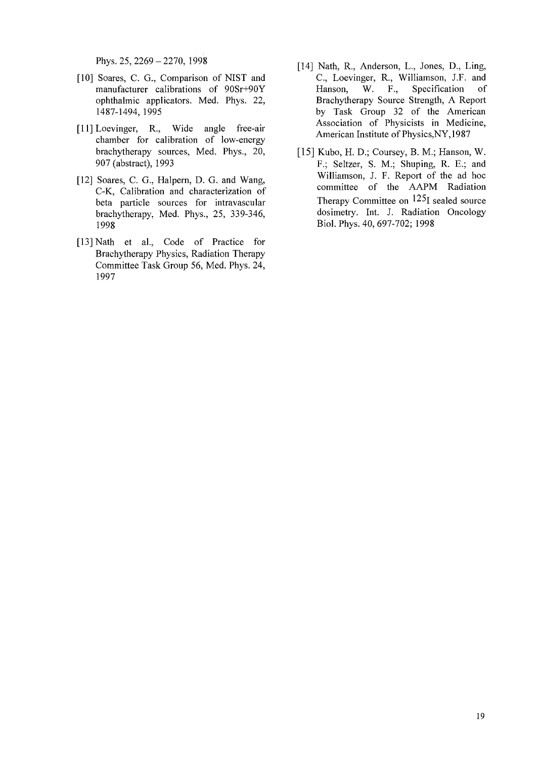Phys. 25, 2269 - 2270, 1998

- [10] Soares, C. G., Comparison of NIST and manufacturer calibrations of 90Sr+90Y ophthalmic applicators. Med. Phys. 22, 1487-1494, 1995
- [11] Loevinger, R., Wide angle free-air chamber for calibration of low-energy brachytherapy sources, Med. Phys., 20, 907 (abstract), 1993
- [12] Soares, C. G., Halpern, D. G. and Wang, C-K, Calibration and characterization of beta particle sources for intravascular brachytherapy, Med. Phys., 25, 339-346, 1998
- [13] Nath et al., Code of Practice for Brachytherapy Physics, Radiation Therapy Committee Task Group 56, Med. Phys. 24, 1997
- [14] Nath, R., Anderson, L., Jones, D., Ling, C, Loevinger, R., Williamson, J.F. and Hanson, W. F., Specification of Brachytherapy Source Strength, A Report by Task Group 32 of the American Association of Physicists in Medicine, American Institute of Physics,NY,1987
- [15] Kubo, H. D.; Coursey, B. M.; Hanson, W. F.; Seltzer, S. M.; Shuping, R. E.; and Williamson, J. F. Report of the ad hoc committee of the AAPM Radiation Therapy Committee on  $125$  sealed source dosimetry. Int. J. Radiation Oncology Biol. Phys. 40, 697-702; 1998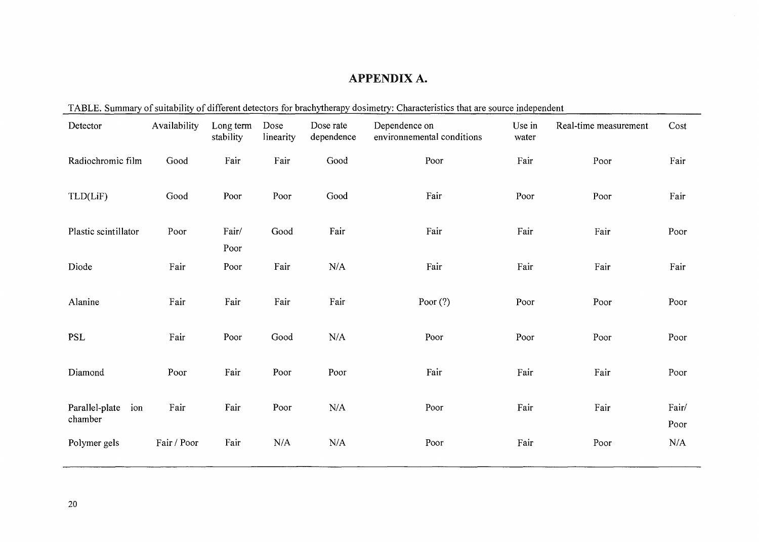# APPENDIX A.

|                                  |              |                        |                   |                         | TABLE. Summary of suitability of different detectors for brachytherapy dosimetry: Characteristics that are source independent |                 |                       |               |
|----------------------------------|--------------|------------------------|-------------------|-------------------------|-------------------------------------------------------------------------------------------------------------------------------|-----------------|-----------------------|---------------|
| Detector                         | Availability | Long term<br>stability | Dose<br>linearity | Dose rate<br>dependence | Dependence on<br>environmemental conditions                                                                                   | Use in<br>water | Real-time measurement | Cost          |
| Radiochromic film                | Good         | Fair                   | Fair              | Good                    | Poor                                                                                                                          | Fair            | Poor                  | Fair          |
| TLD(LiF)                         | Good         | Poor                   | Poor              | Good                    | Fair                                                                                                                          | Poor            | Poor                  | Fair          |
| Plastic scintillator             | Poor         | Fair/<br>Poor          | Good              | Fair                    | Fair                                                                                                                          | Fair            | Fair                  | Poor          |
| Diode                            | Fair         | Poor                   | Fair              | $\rm N/A$               | Fair                                                                                                                          | Fair            | Fair                  | Fair          |
| Alanine                          | Fair         | Fair                   | Fair              | Fair                    | Poor $(?)$                                                                                                                    | Poor            | Poor                  | Poor          |
| <b>PSL</b>                       | Fair         | Poor                   | Good              | N/A                     | Poor                                                                                                                          | Poor            | Poor                  | Poor          |
| Diamond                          | Poor         | Fair                   | Poor              | Poor                    | Fair                                                                                                                          | Fair            | Fair                  | Poor          |
| Parallel-plate<br>ion<br>chamber | Fair         | Fair                   | Poor              | N/A                     | Poor                                                                                                                          | Fair            | Fair                  | Fair/<br>Poor |
| Polymer gels                     | Fair / Poor  | Fair                   | N/A               | N/A                     | Poor                                                                                                                          | Fair            | Poor                  | N/A           |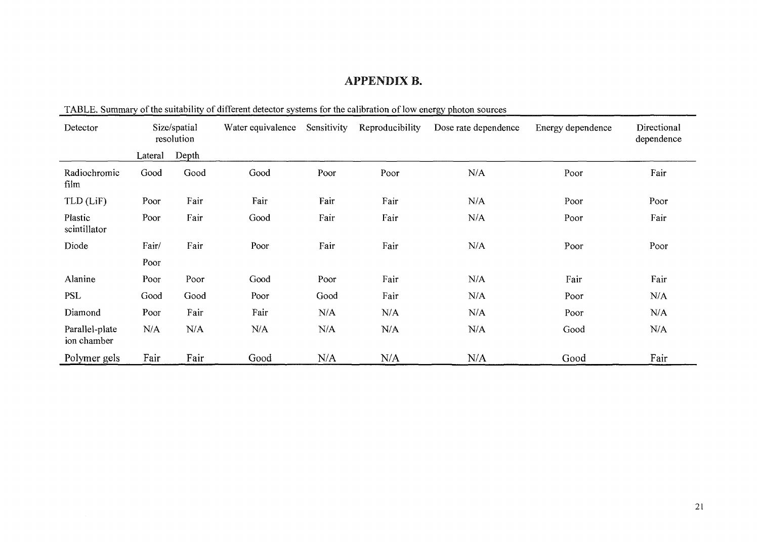# APPENDIX B.

| Detector                      | Size/spatial<br>resolution |       | Water equivalence | Sensitivity | Reproducibility | Dose rate dependence | Energy dependence | Directional<br>dependence |
|-------------------------------|----------------------------|-------|-------------------|-------------|-----------------|----------------------|-------------------|---------------------------|
|                               | Lateral                    | Depth |                   |             |                 |                      |                   |                           |
| Radiochromic<br>film          | Good                       | Good  | Good              | Poor        | Poor            | N/A                  | Poor              | Fair                      |
| TLD (LiF)                     | Poor                       | Fair  | Fair              | Fair        | Fair            | N/A                  | Poor              | Poor                      |
| Plastic<br>scintillator       | Poor                       | Fair  | Good              | Fair        | Fair            | N/A                  | Poor              | Fair                      |
| Diode                         | Fair/                      | Fair  | Poor              | Fair        | Fair            | N/A                  | Poor              | Poor                      |
|                               | Poor                       |       |                   |             |                 |                      |                   |                           |
| Alanine                       | Poor                       | Poor  | Good              | Poor        | Fair            | N/A                  | Fair              | Fair                      |
| <b>PSL</b>                    | Good                       | Good  | Poor              | Good        | Fair            | N/A                  | Poor              | N/A                       |
| Diamond                       | Poor                       | Fair  | Fair              | N/A         | N/A             | N/A                  | Poor              | N/A                       |
| Parallel-plate<br>ion chamber | N/A                        | N/A   | N/A               | N/A         | N/A             | N/A                  | Good              | N/A                       |
| Polymer gels                  | Fair                       | Fair  | Good              | N/A         | N/A             | N/A                  | Good              | Fair                      |

TABLE. Summary of the suitability of different detector systems for the calibration of low energy photon sources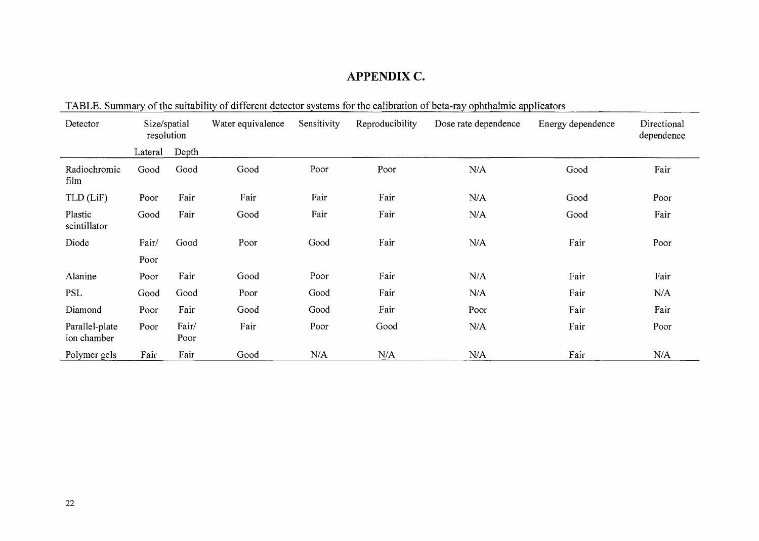# APPENDIX C.

| TADLE. Summary Of the sunability of unferent detector systems for the canonation of beta-lay opinitalitie applicators |                            |               |                   |             |                 |                      |                   |                           |  |
|-----------------------------------------------------------------------------------------------------------------------|----------------------------|---------------|-------------------|-------------|-----------------|----------------------|-------------------|---------------------------|--|
| Detector                                                                                                              | Size/spatial<br>resolution |               | Water equivalence | Sensitivity | Reproducibility | Dose rate dependence | Energy dependence | Directional<br>dependence |  |
|                                                                                                                       | Lateral                    | Depth         |                   |             |                 |                      |                   |                           |  |
| Radiochromic<br>film                                                                                                  | Good                       | Good          | Good              | Poor        | Poor            | N/A                  | Good              | Fair                      |  |
| TLD (LiF)                                                                                                             | Poor                       | Fair          | Fair              | Fair        | Fair            | N/A                  | Good              | Poor                      |  |
| Plastic<br>scintillator                                                                                               | Good                       | Fair          | Good              | Fair        | Fair            | N/A                  | Good              | Fair                      |  |
| Diode                                                                                                                 | Fair/                      | Good          | Poor              | Good        | Fair            | N/A                  | Fair              | Poor                      |  |
|                                                                                                                       | Poor                       |               |                   |             |                 |                      |                   |                           |  |
| Alanine                                                                                                               | Poor                       | Fair          | Good              | Poor        | Fair            | N/A                  | Fair              | Fair                      |  |
| <b>PSL</b>                                                                                                            | Good                       | Good          | Poor              | Good        | Fair            | N/A                  | Fair              | N/A                       |  |
| Diamond                                                                                                               | Poor                       | Fair          | Good              | Good        | Fair            | Poor                 | Fair              | Fair                      |  |
| Parallel-plate<br>ion chamber                                                                                         | Poor                       | Fair/<br>Poor | Fair              | Poor        | Good            | N/A                  | Fair              | Poor                      |  |
| Polymer gels                                                                                                          | Fair                       | Fair          | Good              | N/A         | N/A             | N/A                  | Fair              | N/A                       |  |

TABLE. Summary of the suitability of different detector systems for the calibration of beta-ray ophthalmic applicators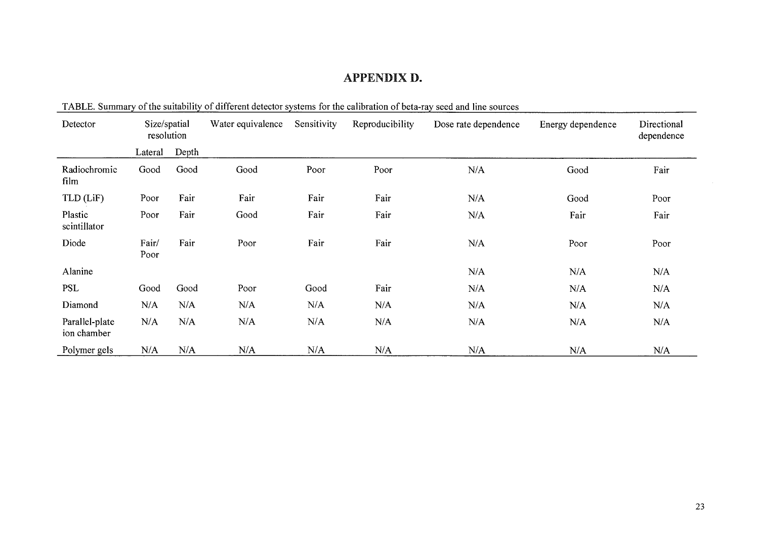# APPENDIX D.

| Detector                      | Size/spatial<br>resolution |       | Water equivalence | Sensitivity | Reproducibility | Dose rate dependence | Energy dependence | Directional<br>dependence |
|-------------------------------|----------------------------|-------|-------------------|-------------|-----------------|----------------------|-------------------|---------------------------|
|                               | Lateral                    | Depth |                   |             |                 |                      |                   |                           |
| Radiochromic<br>film          | Good                       | Good  | Good              | Poor        | Poor            | N/A                  | Good              | Fair                      |
| TLD (LiF)                     | Poor                       | Fair  | Fair              | Fair        | Fair            | N/A                  | Good              | Poor                      |
| Plastic<br>scintillator       | Poor                       | Fair  | Good              | Fair        | Fair            | N/A                  | Fair              | Fair                      |
| Diode                         | Fair/<br>Poor              | Fair  | Poor              | Fair        | Fair            | N/A                  | Poor              | Poor                      |
| Alanine                       |                            |       |                   |             |                 | N/A                  | N/A               | N/A                       |
| <b>PSL</b>                    | Good                       | Good  | Poor              | Good        | Fair            | N/A                  | N/A               | N/A                       |
| Diamond                       | N/A                        | N/A   | N/A               | N/A         | N/A             | N/A                  | N/A               | N/A                       |
| Parallel-plate<br>ion chamber | N/A                        | N/A   | N/A               | N/A         | N/A             | N/A                  | N/A               | N/A                       |
| Polymer gels                  | N/A                        | N/A   | N/A               | N/A         | N/A             | N/A                  | N/A               | N/A                       |

TABLE. Summary of the suitability of different detector systems for the calibration of beta-ray seed and line sources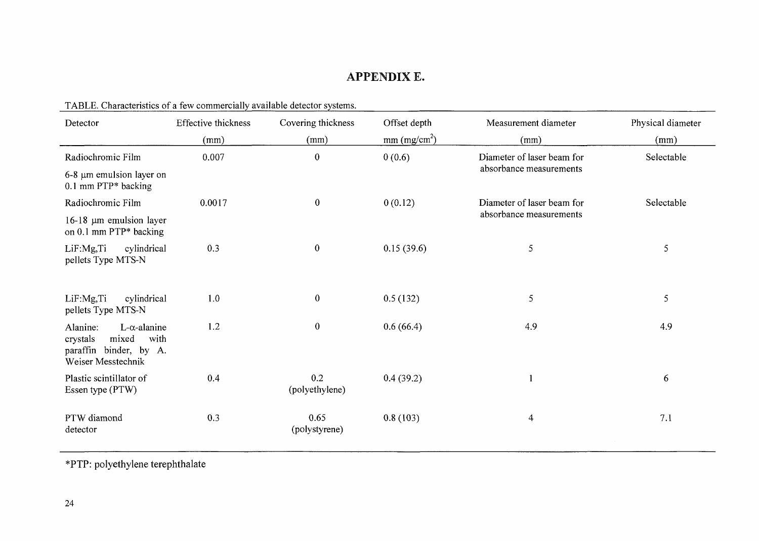# APPENDIX E.

<u> 1989 - Jacques Barnett, amerikansk politiker (d. 1989)</u>

| Detector                                                                                                         | Effective thickness | Covering thickness    | Offset depth               | Measurement diameter       | Physical diameter |  |
|------------------------------------------------------------------------------------------------------------------|---------------------|-----------------------|----------------------------|----------------------------|-------------------|--|
|                                                                                                                  | (mm)                | (mm)                  | $mm$ (mg/cm <sup>2</sup> ) | (mm)                       | (mm)              |  |
| Radiochromic Film                                                                                                | 0.007               | $\boldsymbol{0}$      | 0(0.6)                     | Diameter of laser beam for | Selectable        |  |
| 6-8 µm emulsion layer on<br>$0.1$ mm PTP* backing                                                                |                     |                       |                            | absorbance measurements    |                   |  |
| Radiochromic Film                                                                                                | 0.0017              | $\bf{0}$              | 0(0.12)                    | Diameter of laser beam for | Selectable        |  |
| $16-18$ µm emulsion layer<br>on 0.1 mm PTP* backing                                                              |                     |                       |                            | absorbance measurements    |                   |  |
| LiF:Mg,Ti<br>cylindrical<br>pellets Type MTS-N                                                                   | 0.3                 | $\bf{0}$              | 0.15(39.6)                 | 5                          | 5                 |  |
|                                                                                                                  |                     |                       |                            |                            |                   |  |
| LiF:Mg,Ti<br>cylindrical<br>pellets Type MTS-N                                                                   | 1.0                 | $\mathbf{0}$          | 0.5(132)                   | 5                          | 5                 |  |
| Alanine:<br>$L$ - $\alpha$ -alanine<br>with<br>crystals<br>mixed<br>paraffin binder, by A.<br>Weiser Messtechnik | 1.2                 | $\boldsymbol{0}$      | 0.6(66.4)                  | 4.9                        | 4.9               |  |
| Plastic scintillator of<br>Essen type (PTW)                                                                      | 0.4                 | 0.2<br>(polyethylene) | 0.4(39.2)                  |                            | 6                 |  |
| PTW diamond<br>detector                                                                                          | 0.3                 | 0.65<br>(polystyrene) | 0.8(103)                   | $\overline{4}$             | 7.1               |  |

TABLE. Characteristics of a few commercially available detector systems.

\*PTP: polyethylene terephthalate